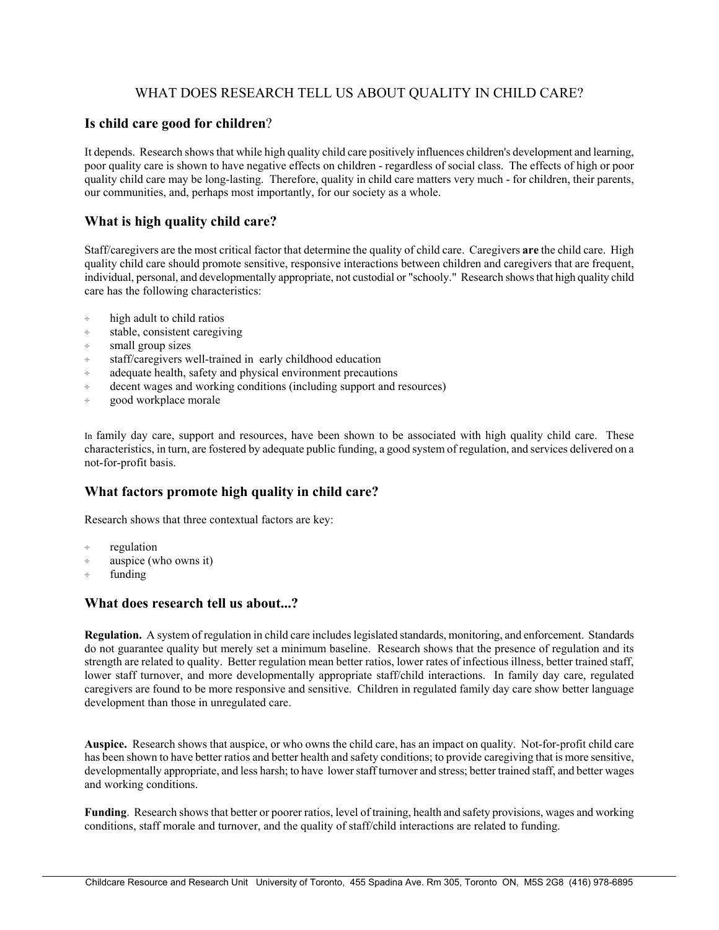# WHAT DOES RESEARCH TELL US ABOUT QUALITY IN CHILD CARE?

#### **Is child care good for children**?

It depends. Research shows that while high quality child care positively influences children's development and learning, poor quality care is shown to have negative effects on children - regardless of social class. The effects of high or poor quality child care may be long-lasting. Therefore, quality in child care matters very much - for children, their parents, our communities, and, perhaps most importantly, for our society as a whole.

## **What is high quality child care?**

Staff/caregivers are the most critical factor that determine the quality of child care. Caregivers **are** the child care. High quality child care should promote sensitive, responsive interactions between children and caregivers that are frequent, individual, personal, and developmentally appropriate, not custodial or "schooly." Research shows that high quality child care has the following characteristics:

- high adult to child ratios
- ÷ stable, consistent caregiving
- ÷ small group sizes
- ÷ staff/caregivers well-trained in early childhood education
- adequate health, safety and physical environment precautions
- decent wages and working conditions (including support and resources)
- ÷ good workplace morale

In family day care, support and resources, have been shown to be associated with high quality child care. These characteristics, in turn, are fostered by adequate public funding, a good system of regulation, and services delivered on a not-for-profit basis.

### **What factors promote high quality in child care?**

Research shows that three contextual factors are key:

- regulation
- ÷ auspice (who owns it)
- funding

#### **What does research tell us about...?**

**Regulation.** A system of regulation in child care includes legislated standards, monitoring, and enforcement. Standards do not guarantee quality but merely set a minimum baseline. Research shows that the presence of regulation and its strength are related to quality. Better regulation mean better ratios, lower rates of infectious illness, better trained staff, lower staff turnover, and more developmentally appropriate staff/child interactions. In family day care, regulated caregivers are found to be more responsive and sensitive. Children in regulated family day care show better language development than those in unregulated care.

**Auspice.** Research shows that auspice, or who owns the child care, has an impact on quality. Not-for-profit child care has been shown to have better ratios and better health and safety conditions; to provide caregiving that is more sensitive, developmentally appropriate, and less harsh; to have lower staff turnover and stress; better trained staff, and better wages and working conditions.

**Funding**. Research shows that better or poorer ratios, level of training, health and safety provisions, wages and working conditions, staff morale and turnover, and the quality of staff/child interactions are related to funding.